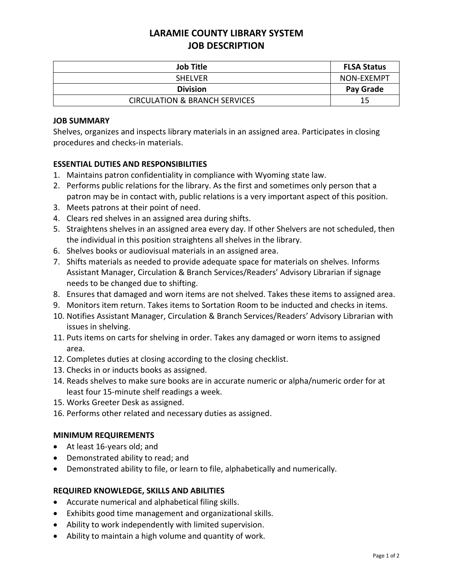# **LARAMIE COUNTY LIBRARY SYSTEM JOB DESCRIPTION**

| <b>Job Title</b>                         | <b>FLSA Status</b> |
|------------------------------------------|--------------------|
| <b>SHELVER</b>                           | NON-EXEMPT         |
| <b>Division</b>                          | Pay Grade          |
| <b>CIRCULATION &amp; BRANCH SERVICES</b> | 15                 |

### **JOB SUMMARY**

Shelves, organizes and inspects library materials in an assigned area. Participates in closing procedures and checks-in materials.

## **ESSENTIAL DUTIES AND RESPONSIBILITIES**

- 1. Maintains patron confidentiality in compliance with Wyoming state law.
- 2. Performs public relations for the library. As the first and sometimes only person that a patron may be in contact with, public relations is a very important aspect of this position.
- 3. Meets patrons at their point of need.
- 4. Clears red shelves in an assigned area during shifts.
- 5. Straightens shelves in an assigned area every day. If other Shelvers are not scheduled, then the individual in this position straightens all shelves in the library.
- 6. Shelves books or audiovisual materials in an assigned area.
- 7. Shifts materials as needed to provide adequate space for materials on shelves. Informs Assistant Manager, Circulation & Branch Services/Readers' Advisory Librarian if signage needs to be changed due to shifting.
- 8. Ensures that damaged and worn items are not shelved. Takes these items to assigned area.
- 9. Monitors item return. Takes items to Sortation Room to be inducted and checks in items.
- 10. Notifies Assistant Manager, Circulation & Branch Services/Readers' Advisory Librarian with issues in shelving.
- 11. Puts items on carts for shelving in order. Takes any damaged or worn items to assigned area.
- 12. Completes duties at closing according to the closing checklist.
- 13. Checks in or inducts books as assigned.
- 14. Reads shelves to make sure books are in accurate numeric or alpha/numeric order for at least four 15-minute shelf readings a week.
- 15. Works Greeter Desk as assigned.
- 16. Performs other related and necessary duties as assigned.

#### **MINIMUM REQUIREMENTS**

- At least 16-years old; and
- Demonstrated ability to read; and
- Demonstrated ability to file, or learn to file, alphabetically and numerically.

#### **REQUIRED KNOWLEDGE, SKILLS AND ABILITIES**

- Accurate numerical and alphabetical filing skills.
- Exhibits good time management and organizational skills.
- Ability to work independently with limited supervision.
- Ability to maintain a high volume and quantity of work.